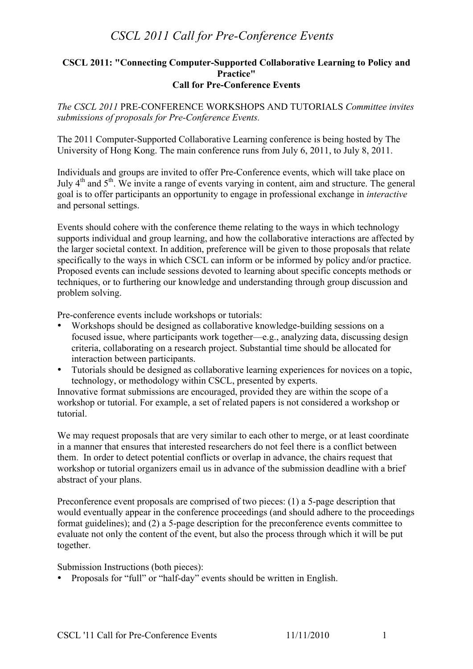## *CSCL 2011 Call for Pre-Conference Events*

#### **CSCL 2011: "Connecting Computer-Supported Collaborative Learning to Policy and Practice" Call for Pre-Conference Events**

*The CSCL 2011* PRE-CONFERENCE WORKSHOPS AND TUTORIALS *Committee invites submissions of proposals for Pre-Conference Events.*

The 2011 Computer-Supported Collaborative Learning conference is being hosted by The University of Hong Kong. The main conference runs from July 6, 2011, to July 8, 2011.

Individuals and groups are invited to offer Pre-Conference events, which will take place on July 4<sup>th</sup> and 5<sup>th</sup>. We invite a range of events varying in content, aim and structure. The general goal is to offer participants an opportunity to engage in professional exchange in *interactive* and personal settings.

Events should cohere with the conference theme relating to the ways in which technology supports individual and group learning, and how the collaborative interactions are affected by the larger societal context. In addition, preference will be given to those proposals that relate specifically to the ways in which CSCL can inform or be informed by policy and/or practice. Proposed events can include sessions devoted to learning about specific concepts methods or techniques, or to furthering our knowledge and understanding through group discussion and problem solving.

Pre-conference events include workshops or tutorials:

- Workshops should be designed as collaborative knowledge-building sessions on a focused issue, where participants work together—e.g., analyzing data, discussing design criteria, collaborating on a research project. Substantial time should be allocated for interaction between participants.
- Tutorials should be designed as collaborative learning experiences for novices on a topic, technology, or methodology within CSCL, presented by experts.

Innovative format submissions are encouraged, provided they are within the scope of a workshop or tutorial. For example, a set of related papers is not considered a workshop or tutorial.

We may request proposals that are very similar to each other to merge, or at least coordinate in a manner that ensures that interested researchers do not feel there is a conflict between them. In order to detect potential conflicts or overlap in advance, the chairs request that workshop or tutorial organizers email us in advance of the submission deadline with a brief abstract of your plans.

Preconference event proposals are comprised of two pieces: (1) a 5-page description that would eventually appear in the conference proceedings (and should adhere to the proceedings format guidelines); and (2) a 5-page description for the preconference events committee to evaluate not only the content of the event, but also the process through which it will be put together.

Submission Instructions (both pieces):

• Proposals for "full" or "half-day" events should be written in English.